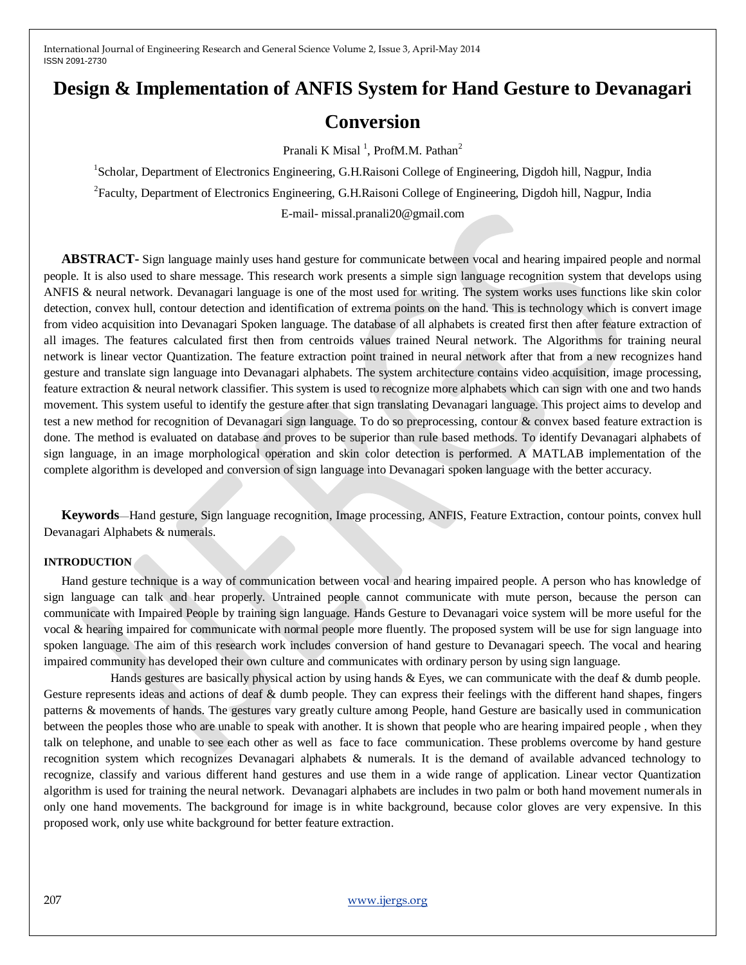# **Design & Implementation of ANFIS System for Hand Gesture to Devanagari**

# **Conversion**

Pranali K Misal<sup>1</sup>, ProfM.M. Pathan<sup>2</sup>

<sup>1</sup>Scholar, Department of Electronics Engineering, G.H.Raisoni College of Engineering, Digdoh hill, Nagpur, India <sup>2</sup> Faculty, Department of Electronics Engineering, G.H.Raisoni College of Engineering, Digdoh hill, Nagpur, India E-mail- missal.pranali20@gmail.com

**ABSTRACT-** Sign language mainly uses hand gesture for communicate between vocal and hearing impaired people and normal people. It is also used to share message. This research work presents a simple sign language recognition system that develops using ANFIS & neural network. Devanagari language is one of the most used for writing. The system works uses functions like skin color detection, convex hull, contour detection and identification of extrema points on the hand. This is technology which is convert image from video acquisition into Devanagari Spoken language. The database of all alphabets is created first then after feature extraction of all images. The features calculated first then from centroids values trained Neural network. The Algorithms for training neural network is linear vector Quantization. The feature extraction point trained in neural network after that from a new recognizes hand gesture and translate sign language into Devanagari alphabets. The system architecture contains video acquisition, image processing, feature extraction & neural network classifier. This system is used to recognize more alphabets which can sign with one and two hands movement. This system useful to identify the gesture after that sign translating Devanagari language. This project aims to develop and test a new method for recognition of Devanagari sign language. To do so preprocessing, contour & convex based feature extraction is done. The method is evaluated on database and proves to be superior than rule based methods. To identify Devanagari alphabets of sign language, in an image morphological operation and skin color detection is performed. A MATLAB implementation of the complete algorithm is developed and conversion of sign language into Devanagari spoken language with the better accuracy.

**Keywords**—Hand gesture, Sign language recognition, Image processing, ANFIS, Feature Extraction, contour points, convex hull Devanagari Alphabets & numerals.

#### **INTRODUCTION**

Hand gesture technique is a way of communication between vocal and hearing impaired people. A person who has knowledge of sign language can talk and hear properly. Untrained people cannot communicate with mute person, because the person can communicate with Impaired People by training sign language. Hands Gesture to Devanagari voice system will be more useful for the vocal & hearing impaired for communicate with normal people more fluently. The proposed system will be use for sign language into spoken language. The aim of this research work includes conversion of hand gesture to Devanagari speech. The vocal and hearing impaired community has developed their own culture and communicates with ordinary person by using sign language.

 Hands gestures are basically physical action by using hands & Eyes, we can communicate with the deaf & dumb people. Gesture represents ideas and actions of deaf & dumb people. They can express their feelings with the different hand shapes, fingers patterns & movements of hands. The gestures vary greatly culture among People, hand Gesture are basically used in communication between the peoples those who are unable to speak with another. It is shown that people who are hearing impaired people , when they talk on telephone, and unable to see each other as well as face to face communication. These problems overcome by hand gesture recognition system which recognizes Devanagari alphabets & numerals. It is the demand of available advanced technology to recognize, classify and various different hand gestures and use them in a wide range of application. Linear vector Quantization algorithm is used for training the neural network. Devanagari alphabets are includes in two palm or both hand movement numerals in only one hand movements. The background for image is in white background, because color gloves are very expensive. In this proposed work, only use white background for better feature extraction.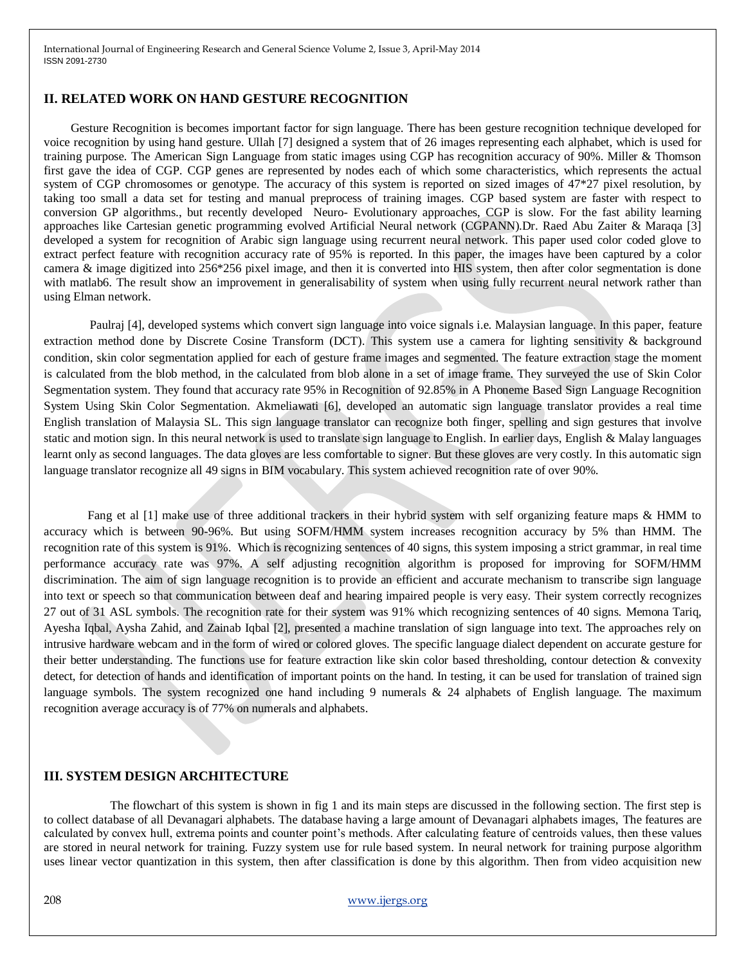#### **II. RELATED WORK ON HAND GESTURE RECOGNITION**

 Gesture Recognition is becomes important factor for sign language. There has been gesture recognition technique developed for voice recognition by using hand gesture. Ullah [7] designed a system that of 26 images representing each alphabet, which is used for training purpose. The American Sign Language from static images using CGP has recognition accuracy of 90%. Miller & Thomson first gave the idea of CGP. CGP genes are represented by nodes each of which some characteristics, which represents the actual system of CGP chromosomes or genotype. The accuracy of this system is reported on sized images of 47\*27 pixel resolution, by taking too small a data set for testing and manual preprocess of training images. CGP based system are faster with respect to conversion GP algorithms., but recently developed Neuro- Evolutionary approaches, CGP is slow. For the fast ability learning approaches like Cartesian genetic programming evolved Artificial Neural network (CGPANN).Dr. Raed Abu Zaiter & Maraqa [3] developed a system for recognition of Arabic sign language using recurrent neural network. This paper used color coded glove to extract perfect feature with recognition accuracy rate of 95% is reported. In this paper, the images have been captured by a color camera & image digitized into 256\*256 pixel image, and then it is converted into HIS system, then after color segmentation is done with matlab6. The result show an improvement in generalisability of system when using fully recurrent neural network rather than using Elman network.

 Paulraj [4], developed systems which convert sign language into voice signals i.e. Malaysian language. In this paper, feature extraction method done by Discrete Cosine Transform (DCT). This system use a camera for lighting sensitivity & background condition, skin color segmentation applied for each of gesture frame images and segmented. The feature extraction stage the moment is calculated from the blob method, in the calculated from blob alone in a set of image frame. They surveyed the use of Skin Color Segmentation system. They found that accuracy rate 95% in Recognition of 92.85% in A Phoneme Based Sign Language Recognition System Using Skin Color Segmentation. Akmeliawati [6], developed an automatic sign language translator provides a real time English translation of Malaysia SL. This sign language translator can recognize both finger, spelling and sign gestures that involve static and motion sign. In this neural network is used to translate sign language to English. In earlier days, English & Malay languages learnt only as second languages. The data gloves are less comfortable to signer. But these gloves are very costly. In this automatic sign language translator recognize all 49 signs in BIM vocabulary. This system achieved recognition rate of over 90%.

Fang et al [1] make use of three additional trackers in their hybrid system with self organizing feature maps & HMM to accuracy which is between 90-96%. But using SOFM/HMM system increases recognition accuracy by 5% than HMM. The recognition rate of this system is 91%. Which is recognizing sentences of 40 signs, this system imposing a strict grammar, in real time performance accuracy rate was 97%. A self adjusting recognition algorithm is proposed for improving for SOFM/HMM discrimination. The aim of sign language recognition is to provide an efficient and accurate mechanism to transcribe sign language into text or speech so that communication between deaf and hearing impaired people is very easy. Their system correctly recognizes 27 out of 31 ASL symbols. The recognition rate for their system was 91% which recognizing sentences of 40 signs. Memona Tariq, Ayesha Iqbal, Aysha Zahid, and Zainab Iqbal [2], presented a machine translation of sign language into text. The approaches rely on intrusive hardware webcam and in the form of wired or colored gloves. The specific language dialect dependent on accurate gesture for their better understanding. The functions use for feature extraction like skin color based thresholding, contour detection & convexity detect, for detection of hands and identification of important points on the hand. In testing, it can be used for translation of trained sign language symbols. The system recognized one hand including 9 numerals & 24 alphabets of English language. The maximum recognition average accuracy is of 77% on numerals and alphabets.

#### **III. SYSTEM DESIGN ARCHITECTURE**

 The flowchart of this system is shown in fig 1 and its main steps are discussed in the following section. The first step is to collect database of all Devanagari alphabets. The database having a large amount of Devanagari alphabets images, The features are calculated by convex hull, extrema points and counter point's methods. After calculating feature of centroids values, then these values are stored in neural network for training. Fuzzy system use for rule based system. In neural network for training purpose algorithm uses linear vector quantization in this system, then after classification is done by this algorithm. Then from video acquisition new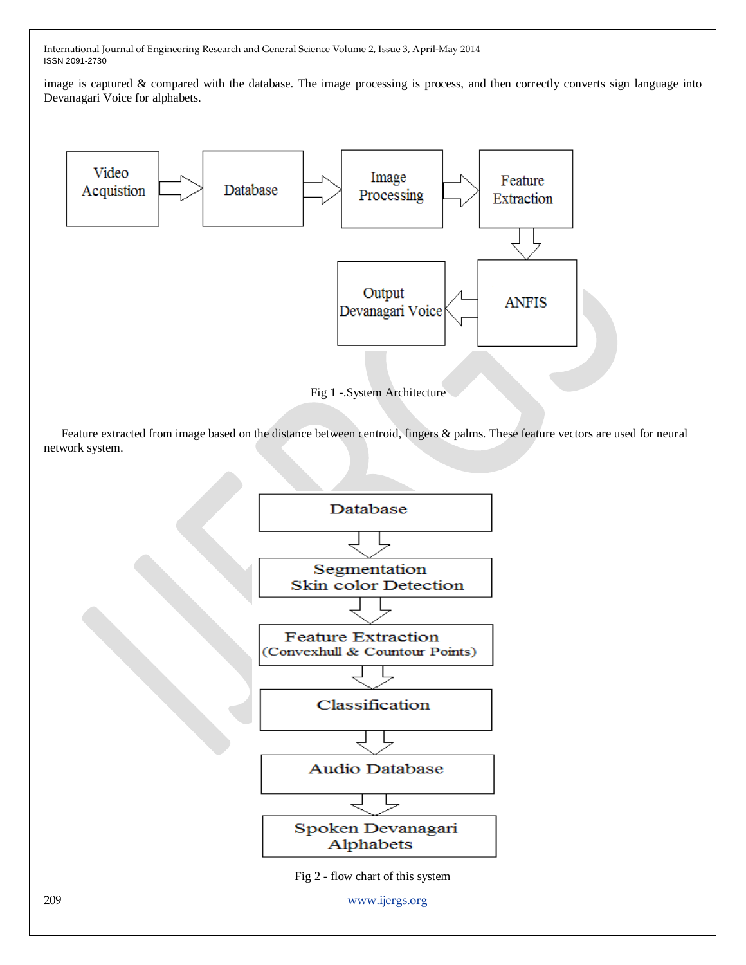image is captured & compared with the database. The image processing is process, and then correctly converts sign language into Devanagari Voice for alphabets.



Fig 1 -.System Architecture

Feature extracted from image based on the distance between centroid, fingers & palms. These feature vectors are used for neural network system.



209 [www.ijergs.org](http://www.ijergs.org/)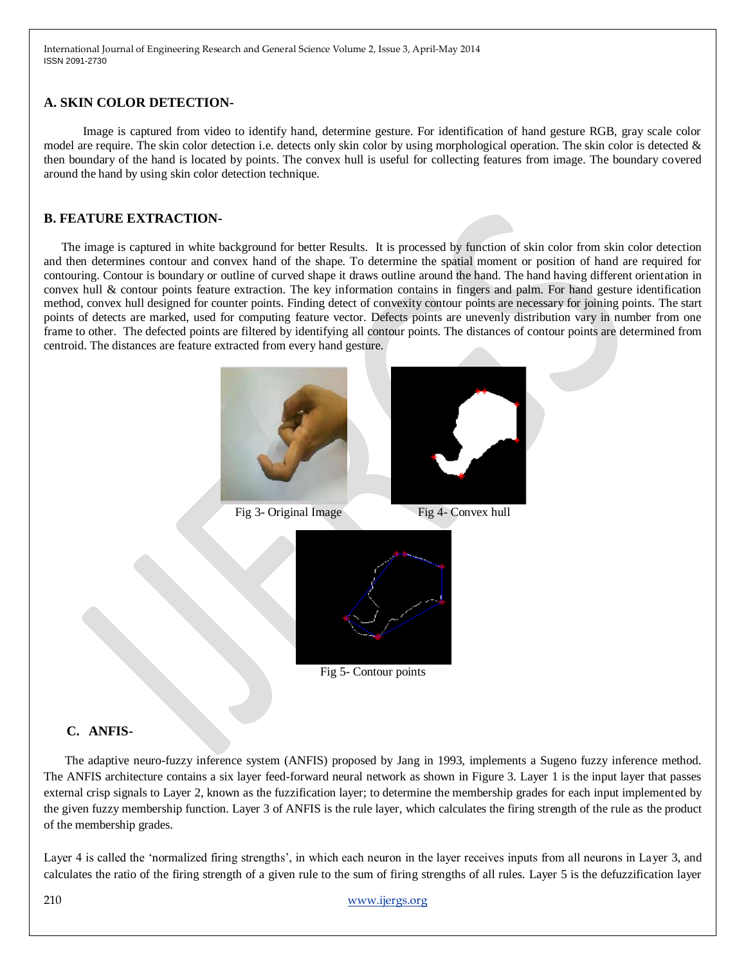#### **A. SKIN COLOR DETECTION-**

 Image is captured from video to identify hand, determine gesture. For identification of hand gesture RGB, gray scale color model are require. The skin color detection i.e. detects only skin color by using morphological operation. The skin color is detected & then boundary of the hand is located by points. The convex hull is useful for collecting features from image. The boundary covered around the hand by using skin color detection technique.

#### **B. FEATURE EXTRACTION-**

The image is captured in white background for better Results. It is processed by function of skin color from skin color detection and then determines contour and convex hand of the shape. To determine the spatial moment or position of hand are required for contouring. Contour is boundary or outline of curved shape it draws outline around the hand. The hand having different orientation in convex hull & contour points feature extraction. The key information contains in fingers and palm. For hand gesture identification method, convex hull designed for counter points. Finding detect of convexity contour points are necessary for joining points. The start points of detects are marked, used for computing feature vector. Defects points are unevenly distribution vary in number from one frame to other. The defected points are filtered by identifying all contour points. The distances of contour points are determined from centroid. The distances are feature extracted from every hand gesture.



## **C. ANFIS-**

The adaptive neuro-fuzzy inference system (ANFIS) proposed by Jang in 1993, implements a Sugeno fuzzy inference method. The ANFIS architecture contains a six layer feed-forward neural network as shown in Figure 3. Layer 1 is the input layer that passes external crisp signals to Layer 2, known as the fuzzification layer; to determine the membership grades for each input implemented by the given fuzzy membership function. Layer 3 of ANFIS is the rule layer, which calculates the firing strength of the rule as the product of the membership grades.

Layer 4 is called the 'normalized firing strengths', in which each neuron in the layer receives inputs from all neurons in Layer 3, and calculates the ratio of the firing strength of a given rule to the sum of firing strengths of all rules. Layer 5 is the defuzzification layer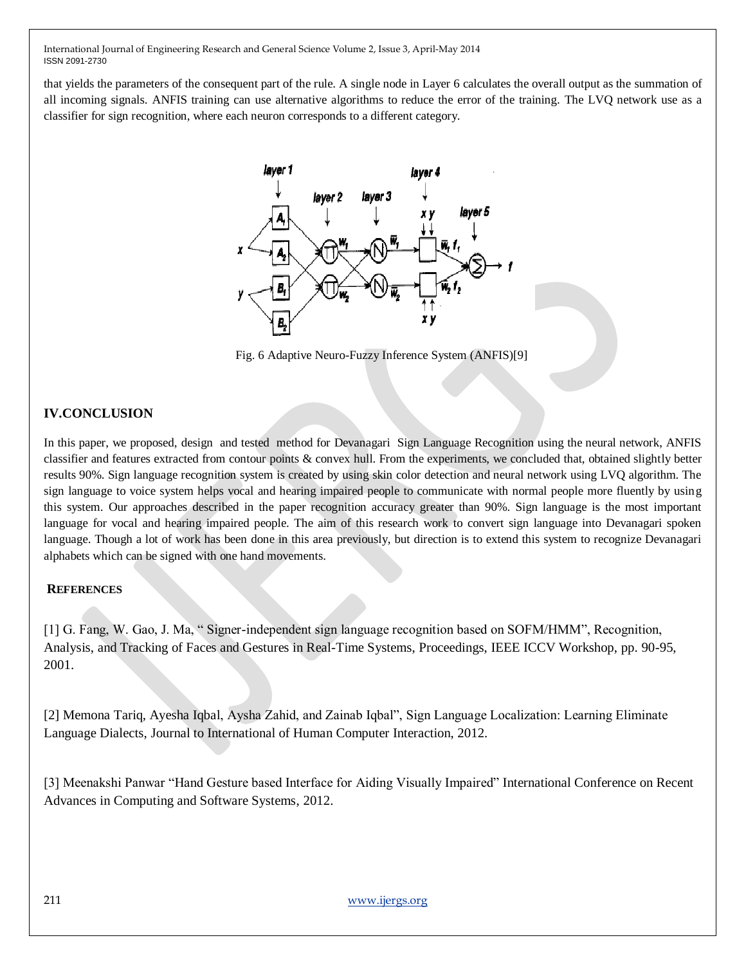that yields the parameters of the consequent part of the rule. A single node in Layer 6 calculates the overall output as the summation of all incoming signals. ANFIS training can use alternative algorithms to reduce the error of the training. The LVQ network use as a classifier for sign recognition, where each neuron corresponds to a different category.



Fig. 6 Adaptive Neuro-Fuzzy Inference System (ANFIS)[9]

# **IV.CONCLUSION**

In this paper, we proposed, design and tested method for Devanagari Sign Language Recognition using the neural network, ANFIS classifier and features extracted from contour points & convex hull. From the experiments, we concluded that, obtained slightly better results 90%. Sign language recognition system is created by using skin color detection and neural network using LVQ algorithm. The sign language to voice system helps vocal and hearing impaired people to communicate with normal people more fluently by using this system. Our approaches described in the paper recognition accuracy greater than 90%. Sign language is the most important language for vocal and hearing impaired people. The aim of this research work to convert sign language into Devanagari spoken language. Though a lot of work has been done in this area previously, but direction is to extend this system to recognize Devanagari alphabets which can be signed with one hand movements.

## **REFERENCES**

[1] G. Fang, W. Gao, J. Ma, "Signer-independent sign language recognition based on SOFM/HMM", Recognition, Analysis, and Tracking of Faces and Gestures in Real-Time Systems, Proceedings, IEEE ICCV Workshop, pp. 90-95, 2001.

[2] Memona Tariq, Ayesha Iqbal, Aysha Zahid, and Zainab Iqbal", Sign Language Localization: Learning Eliminate Language Dialects, Journal to International of Human Computer Interaction, 2012.

[3] Meenakshi Panwar "Hand Gesture based Interface for Aiding Visually Impaired" International Conference on Recent Advances in Computing and Software Systems, 2012.